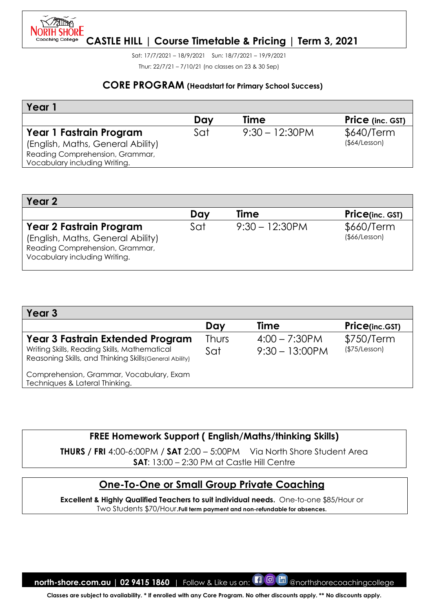

Sat: 17/7/2021 – 18/9/2021 Sun: 18/7/2021 – 19/9/2021 Thur: 22/7/21 – 7/10/21 (no classes on 23 & 30 Sep)

#### **CORE PROGRAM (Headstart for Primary School Success)**

| Year                                                                                                                             |     |                   |                            |
|----------------------------------------------------------------------------------------------------------------------------------|-----|-------------------|----------------------------|
|                                                                                                                                  | Day | <b>Time</b>       | Price (inc. GST)           |
| Year 1 Fastrain Program<br>(English, Maths, General Ability)<br>Reading Comprehension, Grammar,<br>Vocabulary including Writing. | Sat | $9:30 - 12:30$ PM | \$640/Term<br>(\$4/Lesson) |

| Year 2                                                                                                                                  |     |                   |                                   |
|-----------------------------------------------------------------------------------------------------------------------------------------|-----|-------------------|-----------------------------------|
|                                                                                                                                         | Day | <b>Time</b>       | <b>Price(inc. GST)</b>            |
| <b>Year 2 Fastrain Program</b><br>(English, Maths, General Ability)<br>Reading Comprehension, Grammar,<br>Vocabulary including Writing. | Sat | $9:30 - 12:30$ PM | \$660/Term<br>$($ \$66/Lesson $)$ |

| Year 3                                                                                                                                             |                     |                                       |                             |
|----------------------------------------------------------------------------------------------------------------------------------------------------|---------------------|---------------------------------------|-----------------------------|
|                                                                                                                                                    | Day                 | <b>Time</b>                           | <b>Price(inc.GST)</b>       |
| <b>Year 3 Fastrain Extended Program</b><br>Writing Skills, Reading Skills, Mathematical<br>Reasoning Skills, and Thinking Skills (General Ability) | <b>Thurs</b><br>Sat | $4:00 - 7:30$ PM<br>$9:30 - 13:00$ PM | \$750/Term<br>(\$75/Lesson) |
| Comprehension, Grammar, Vocabulary, Exam<br>Techniques & Lateral Thinking.                                                                         |                     |                                       |                             |

## **FREE Homework Support ( English/Maths/thinking Skills)**

**THURS / FRI** 4:00-6:00PM / **SAT** 2:00 – 5:00PM Via North Shore Student Area **SAT**: 13:00 – 2:30 PM at Castle Hill Centre

## **One-To-One or Small Group Private Coaching**

**Excellent & Highly Qualified Teachers to suit individual needs.** One-to-one \$85/Hour or Two Students \$70/Hour.**Full term payment and non-refundable for absences.**

**north-shore.com.au | 02 9415 1860** | Follow & Like us on: **[1 0 m** @northshorecoachingcollege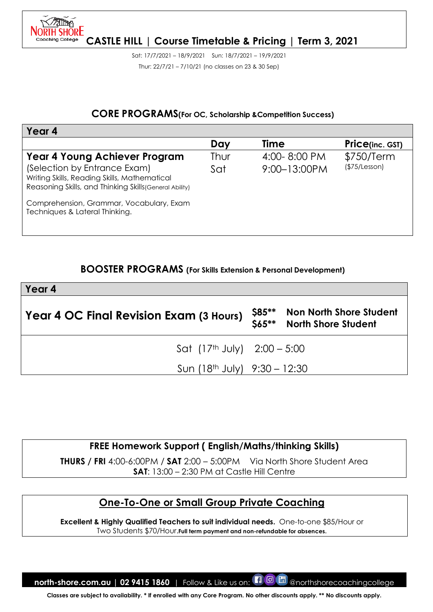

Sat: 17/7/2021 – 18/9/2021 Sun: 18/7/2021 – 19/9/2021 Thur: 22/7/21 – 7/10/21 (no classes on 23 & 30 Sep)

#### **CORE PROGRAMS(For OC, Scholarship &Competition Success)**

| Year 4                                                                                                                                  |      |                   |                        |
|-----------------------------------------------------------------------------------------------------------------------------------------|------|-------------------|------------------------|
|                                                                                                                                         | Day  | Time              | <b>Price(inc. GST)</b> |
| Year 4 Young Achiever Program                                                                                                           | Thur | $4:00 - 8:00$ PM  | \$750/Term             |
| (Selection by Entrance Exam)<br>Writing Skills, Reading Skills, Mathematical<br>Reasoning Skills, and Thinking Skills (General Ability) | Sat  | $9:00 - 13:00$ PM | (\$75/Lesson)          |
| Comprehension, Grammar, Vocabulary, Exam<br>Techniques & Lateral Thinking.                                                              |      |                   |                        |

#### **BOOSTER PROGRAMS (For Skills Extension & Personal Development)**

| Year 4                                  |                  |                                                              |
|-----------------------------------------|------------------|--------------------------------------------------------------|
| Year 4 OC Final Revision Exam (3 Hours) | \$85**<br>\$65** | <b>Non North Shore Student</b><br><b>North Shore Student</b> |
| Sat $(17th$ July) $2:00 - 5:00$         |                  |                                                              |
| Sun $(18th$ July) $9:30 - 12:30$        |                  |                                                              |

# **FREE Homework Support ( English/Maths/thinking Skills)**

**THURS / FRI** 4:00-6:00PM / **SAT** 2:00 – 5:00PM Via North Shore Student Area **SAT**: 13:00 – 2:30 PM at Castle Hill Centre

## **One-To-One or Small Group Private Coaching**

**Excellent & Highly Qualified Teachers to suit individual needs.** One-to-one \$85/Hour or Two Students \$70/Hour.**Full term payment and non-refundable for absences.**

**north-shore.com.au | 02 9415 1860** | Follow & Like us on: **[1 0 m** @northshorecoachingcollege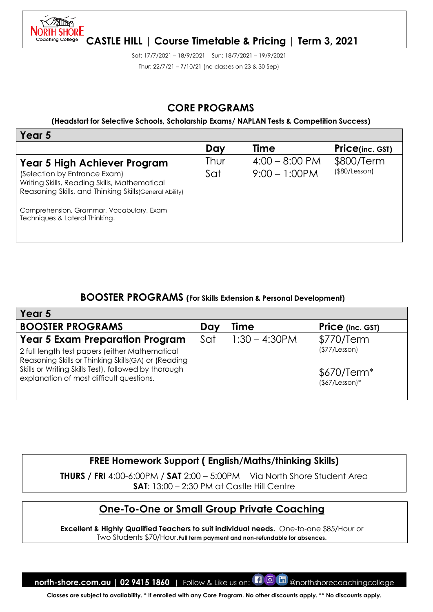

Sat: 17/7/2021 – 18/9/2021 Sun: 18/7/2021 – 19/9/2021 Thur: 22/7/21 – 7/10/21 (no classes on 23 & 30 Sep)

### **CORE PROGRAMS**

**(Headstart for Selective Schools, Scholarship Exams/ NAPLAN Tests & Competition Success)**

| Year 5                                                                                                                                                                                                                                                |             |                                              |                             |
|-------------------------------------------------------------------------------------------------------------------------------------------------------------------------------------------------------------------------------------------------------|-------------|----------------------------------------------|-----------------------------|
|                                                                                                                                                                                                                                                       | Day         | <b>Time</b>                                  | <b>Price(inc. GST)</b>      |
| Year 5 High Achiever Program<br>(Selection by Entrance Exam)<br>Writing Skills, Reading Skills, Mathematical<br>Reasoning Skills, and Thinking Skills (General Ability)<br>Comprehension, Grammar, Vocabulary, Exam<br>Techniques & Lateral Thinking. | Thur<br>Sat | $4:00 - 8:00 \text{ PM}$<br>$9:00 - 1:00$ PM | \$800/Term<br>(\$80/Lesson) |
|                                                                                                                                                                                                                                                       |             |                                              |                             |

#### **BOOSTER PROGRAMS (For Skills Extension & Personal Development)**

| Year 5                                                                                                 |     |                  |                                 |
|--------------------------------------------------------------------------------------------------------|-----|------------------|---------------------------------|
| <b>BOOSTER PROGRAMS</b>                                                                                | Day | <b>Time</b>      | <b>Price</b> (inc. GST)         |
| <b>Year 5 Exam Preparation Program</b>                                                                 | Sat | $1:30 - 4:30$ PM | \$770/Term                      |
| 2 full length test papers (either Mathematical<br>Reasoning Skills or Thinking Skills (GA) or (Reading |     |                  | (\$77/Lesson)                   |
| Skills or Writing Skills Test), followed by thorough<br>explanation of most difficult questions.       |     |                  | $$670/Term*$<br>$($67/Lesson)*$ |

**FREE Homework Support ( English/Maths/thinking Skills)**

**THURS / FRI** 4:00-6:00PM / **SAT** 2:00 – 5:00PM Via North Shore Student Area **SAT**: 13:00 – 2:30 PM at Castle Hill Centre

## **One-To-One or Small Group Private Coaching**

**Excellent & Highly Qualified Teachers to suit individual needs.** One-to-one \$85/Hour or Two Students \$70/Hour.**Full term payment and non-refundable for absences.**

**north-shore.com.au | 02 9415 1860** | Follow & Like us on: **[1 0 m** @northshorecoachingcollege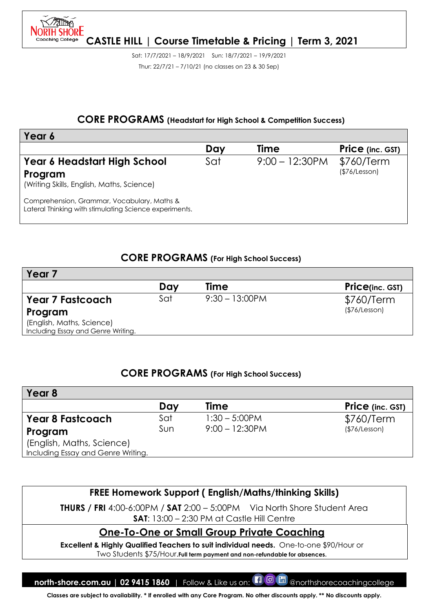

Sat: 17/7/2021 – 18/9/2021 Sun: 18/7/2021 – 19/9/2021 Thur: 22/7/21 – 7/10/21 (no classes on 23 & 30 Sep)

#### **CORE PROGRAMS (Headstart for High School & Competition Success)**

| Year 6                                                                                                |     |                   |                             |
|-------------------------------------------------------------------------------------------------------|-----|-------------------|-----------------------------|
|                                                                                                       | Day | <b>Time</b>       | <b>Price</b> (inc. GST)     |
| Year 6 Headstart High School<br>Program<br>(Writing Skills, English, Maths, Science)                  | Sat | $9:00 - 12:30$ PM | \$760/Term<br>(\$76/Lesson) |
| Comprehension, Grammar, Vocabulary, Maths &<br>Lateral Thinking with stimulating Science experiments. |     |                   |                             |

### **CORE PROGRAMS (For High School Success)**

| Year                               |     |                   |                         |
|------------------------------------|-----|-------------------|-------------------------|
|                                    | Day | <b>Time</b>       | <b>Price</b> (inc. GST) |
| <b>Year 7 Fastcoach</b>            | Sat | $9:30 - 13:00$ PM | \$760/Term              |
| Program                            |     |                   | (\$76/Lesson)           |
| (English, Maths, Science)          |     |                   |                         |
| Including Essay and Genre Writing. |     |                   |                         |

#### **CORE PROGRAMS (For High School Success)**

| Year 8                             |     |                  |                         |
|------------------------------------|-----|------------------|-------------------------|
|                                    | Day | <b>Time</b>      | <b>Price</b> (inc. GST) |
| <b>Year 8 Fastcoach</b>            | Sat | $1:30 - 5:00$ PM | \$760/Term              |
| Program                            | Sun | $9:00 - 12:30PM$ | (\$76/Lesson)           |
| (English, Maths, Science)          |     |                  |                         |
| Including Essay and Genre Writing. |     |                  |                         |

## **FREE Homework Support ( English/Maths/thinking Skills)**

**THURS / FRI** 4:00-6:00PM / **SAT** 2:00 – 5:00PM Via North Shore Student Area **SAT**: 13:00 – 2:30 PM at Castle Hill Centre

### **One-To-One or Small Group Private Coaching**

**Excellent & Highly Qualified Teachers to suit individual needs.** One-to-one \$90/Hour or Two Students \$75/Hour.**Full term payment and non-refundable for absences.**

**north-shore.com.au | 02 9415 1860** | Follow & Like us on: **[1 0 ma** @northshorecoachingcollege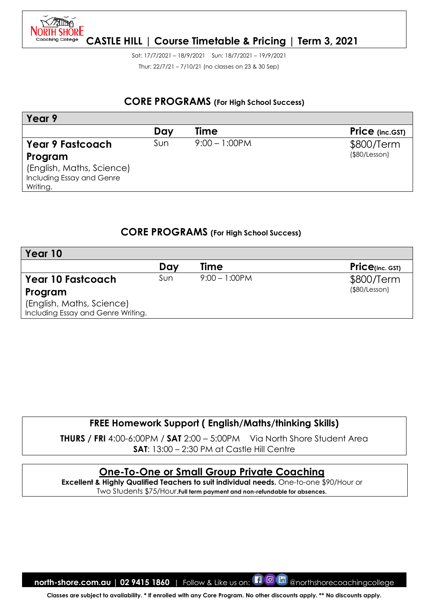

Sat: 17/7/2021 – 18/9/2021 Sun: 18/7/2021 – 19/9/2021 Thur: 22/7/21 – 7/10/21 (no classes on 23 & 30 Sep)

#### **CORE PROGRAMS (For High School Success)**

| Year 9                    |     |                  |                        |
|---------------------------|-----|------------------|------------------------|
|                           | Day | <b>Time</b>      | <b>Price</b> (inc.GST) |
| <b>Year 9 Fastcoach</b>   | Sun | $9:00 - 1:00$ PM | \$800/Term             |
| Program                   |     |                  | (\$80/Lesson)          |
| (English, Maths, Science) |     |                  |                        |
| Including Essay and Genre |     |                  |                        |
| Writing.                  |     |                  |                        |

#### **CORE PROGRAMS (For High School Success)**

| Year 10                            |     |                  |                      |
|------------------------------------|-----|------------------|----------------------|
|                                    | Day | <b>Time</b>      | $Price_{(inc. GST)}$ |
| Year 10 Fastcoach                  | Sun | $9:00 - 1:00$ PM | \$800/Term           |
| Program                            |     |                  | (\$80/Lesson)        |
| (English, Maths, Science)          |     |                  |                      |
| Including Essay and Genre Writing. |     |                  |                      |

## **FREE Homework Support ( English/Maths/thinking Skills)**

**THURS / FRI** 4:00-6:00PM / **SAT** 2:00 – 5:00PM Via North Shore Student Area **SAT**: 13:00 – 2:30 PM at Castle Hill Centre

#### **One-To-One or Small Group Private Coaching**

**Excellent & Highly Qualified Teachers to suit individual needs.** One-to-one \$90/Hour or Two Students \$75/Hour.**Full term payment and non-refundable for absences.**

**north-shore.com.au | 02 9415 1860** | Follow & Like us on: **[1 0 m** @northshorecoachingcollege